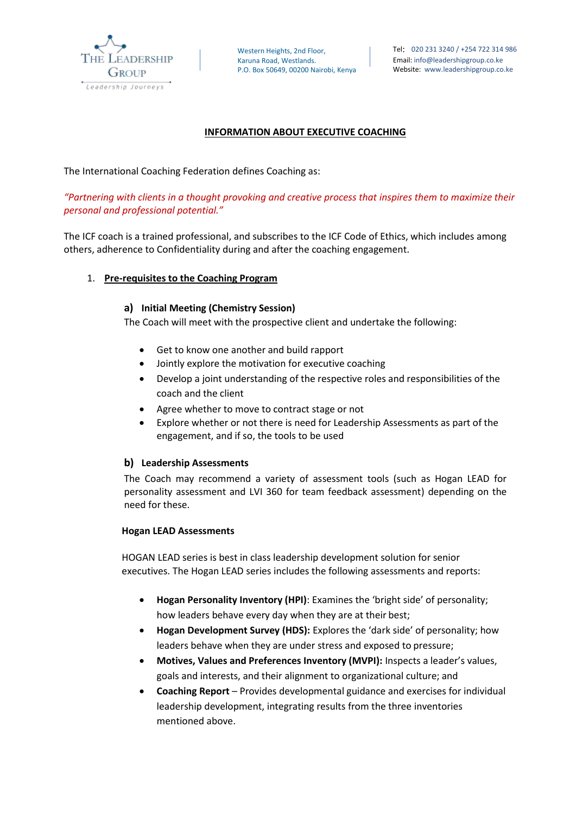

## **INFORMATION ABOUT EXECUTIVE COACHING**

The International Coaching Federation defines Coaching as:

*"Partnering with clients in a thought provoking and creative process that inspires them to maximize their personal and professional potential."*

The ICF coach is a trained professional, and subscribes to the ICF Code of Ethics, which includes among others, adherence to Confidentiality during and after the coaching engagement.

### 1. **Pre-requisites to the Coaching Program**

### **a) Initial Meeting (Chemistry Session)**

The Coach will meet with the prospective client and undertake the following:

- Get to know one another and build rapport
- Jointly explore the motivation for executive coaching
- Develop a joint understanding of the respective roles and responsibilities of the coach and the client
- Agree whether to move to contract stage or not
- Explore whether or not there is need for Leadership Assessments as part of the engagement, and if so, the tools to be used

### **b) Leadership Assessments**

The Coach may recommend a variety of assessment tools (such as Hogan LEAD for personality assessment and LVI 360 for team feedback assessment) depending on the need for these.

### **Hogan LEAD Assessments**

HOGAN LEAD series is best in class leadership development solution for senior executives. The Hogan LEAD series includes the following assessments and reports:

- **Hogan Personality Inventory (HPI)**: Examines the 'bright side' of personality; how leaders behave every day when they are at their best;
- **Hogan Development Survey (HDS):** Explores the 'dark side' of personality; how leaders behave when they are under stress and exposed to pressure;
- **Motives, Values and Preferences Inventory (MVPI):** Inspects a leader's values, goals and interests, and their alignment to organizational culture; and
- **Coaching Report**  Provides developmental guidance and exercises for individual leadership development, integrating results from the three inventories mentioned above.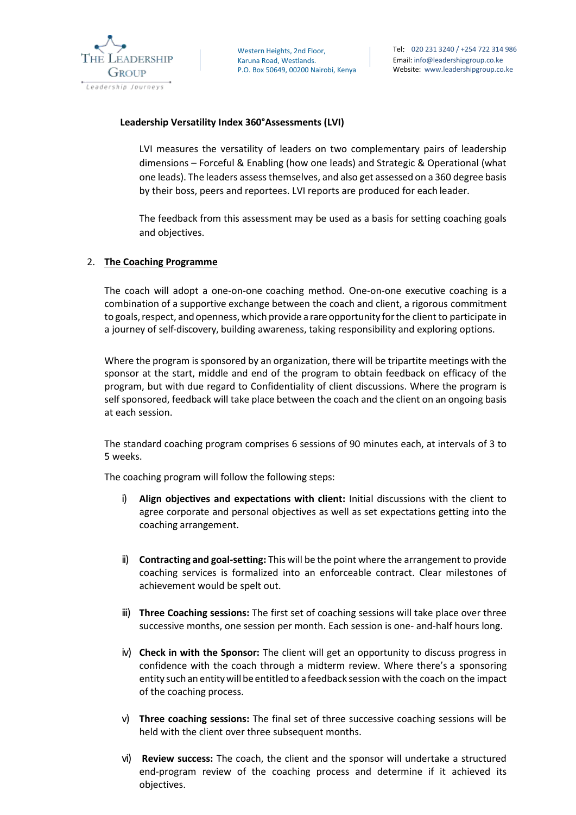

### **Leadership Versatility Index 360°Assessments (LVI)**

LVI measures the versatility of leaders on two complementary pairs of leadership dimensions – Forceful & Enabling (how one leads) and Strategic & Operational (what one leads). The leaders assessthemselves, and also get assessed on a 360 degree basis by their boss, peers and reportees. LVI reports are produced for each leader.

The feedback from this assessment may be used as a basis for setting coaching goals and objectives.

### 2. **The Coaching Programme**

The coach will adopt a one-on-one coaching method. One-on-one executive coaching is a combination of a supportive exchange between the coach and client, a rigorous commitment to goals, respect, and openness, which provide a rare opportunity for the client to participate in a journey of self-discovery, building awareness, taking responsibility and exploring options.

Where the program is sponsored by an organization, there will be tripartite meetings with the sponsor at the start, middle and end of the program to obtain feedback on efficacy of the program, but with due regard to Confidentiality of client discussions. Where the program is self sponsored, feedback will take place between the coach and the client on an ongoing basis at each session.

The standard coaching program comprises 6 sessions of 90 minutes each, at intervals of 3 to 5 weeks.

The coaching program will follow the following steps:

- i) **Align objectives and expectations with client:** Initial discussions with the client to agree corporate and personal objectives as well as set expectations getting into the coaching arrangement.
- ii) **Contracting and goal-setting:** This will be the point where the arrangement to provide coaching services is formalized into an enforceable contract. Clear milestones of achievement would be spelt out.
- iii) **Three Coaching sessions:** The first set of coaching sessions will take place over three successive months, one session per month. Each session is one- and-half hours long.
- iv) **Check in with the Sponsor:** The client will get an opportunity to discuss progress in confidence with the coach through a midterm review. Where there's a sponsoring entity such an entitywillbe entitled to afeedback session with the coach on the impact of the coaching process.
- v) **Three coaching sessions:** The final set of three successive coaching sessions will be held with the client over three subsequent months.
- vi) **Review success:** The coach, the client and the sponsor will undertake a structured end-program review of the coaching process and determine if it achieved its objectives.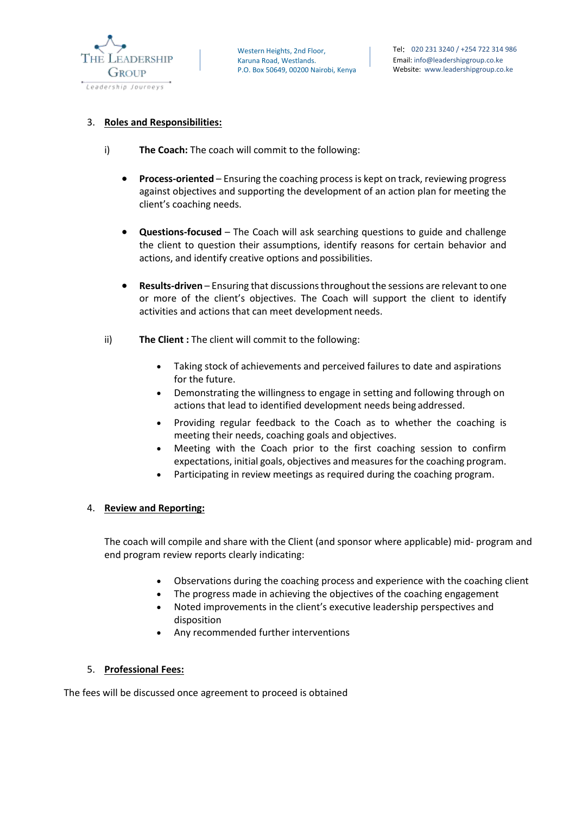

### 3. **Roles and Responsibilities:**

- i) **The Coach:** The coach will commit to the following:
	- **Process-oriented**  Ensuring the coaching process is kept on track, reviewing progress against objectives and supporting the development of an action plan for meeting the client's coaching needs.
	- **Questions-focused**  The Coach will ask searching questions to guide and challenge the client to question their assumptions, identify reasons for certain behavior and actions, and identify creative options and possibilities.
	- **Results-driven**  Ensuring that discussions throughout the sessions are relevant to one or more of the client's objectives. The Coach will support the client to identify activities and actions that can meet development needs.
- ii) **The Client :** The client will commit to the following:
	- Taking stock of achievements and perceived failures to date and aspirations for the future.
	- Demonstrating the willingness to engage in setting and following through on actions that lead to identified development needs being addressed.
	- Providing regular feedback to the Coach as to whether the coaching is meeting their needs, coaching goals and objectives.
	- Meeting with the Coach prior to the first coaching session to confirm expectations, initial goals, objectives and measures for the coaching program.
	- Participating in review meetings as required during the coaching program.

### 4. **Review and Reporting:**

The coach will compile and share with the Client (and sponsor where applicable) mid- program and end program review reports clearly indicating:

- Observations during the coaching process and experience with the coaching client
- The progress made in achieving the objectives of the coaching engagement
- Noted improvements in the client's executive leadership perspectives and disposition
- Any recommended further interventions

## 5. **Professional Fees:**

The fees will be discussed once agreement to proceed is obtained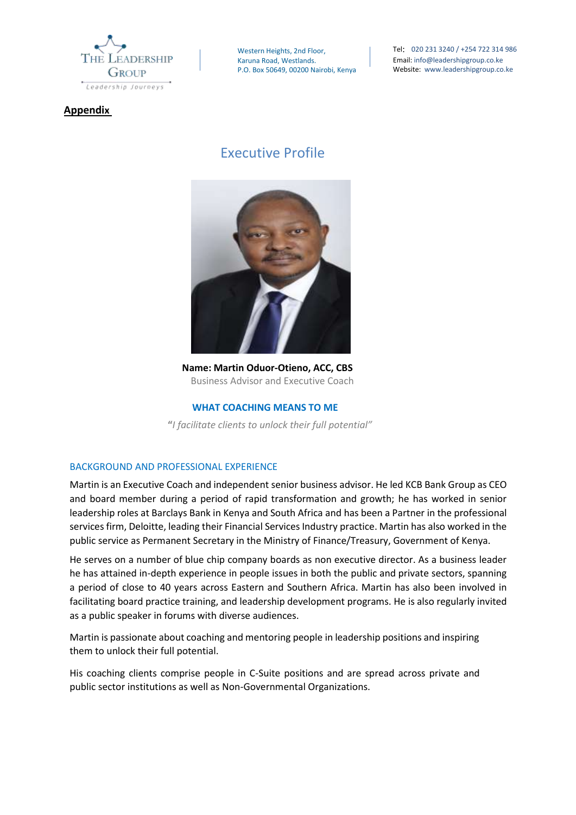

**Appendix**

Western Heights, 2nd Floor, Karuna Road, Westlands. P.O. Box 50649, 00200 Nairobi, Kenya Tel: 020 231 3240 / +254 722 314 986 Email: info@leadershipgroup.co.ke Website: www.leadershipgroup.co.ke

# Executive Profile



 **Name: Martin Oduor-Otieno, ACC, CBS** Business Advisor and Executive Coach

### **WHAT COACHING MEANS TO ME**

 **"***I facilitate clients to unlock their full potential"*

### BACKGROUND AND PROFESSIONAL EXPERIENCE

Martin is an Executive Coach and independent senior business advisor. He led KCB Bank Group as CEO and board member during a period of rapid transformation and growth; he has worked in senior leadership roles at Barclays Bank in Kenya and South Africa and has been a Partner in the professional services firm, Deloitte, leading their Financial Services Industry practice. Martin has also worked in the public service as Permanent Secretary in the Ministry of Finance/Treasury, Government of Kenya.

He serves on a number of blue chip company boards as non executive director. As a business leader he has attained in-depth experience in people issues in both the public and private sectors, spanning a period of close to 40 years across Eastern and Southern Africa. Martin has also been involved in facilitating board practice training, and leadership development programs. He is also regularly invited as a public speaker in forums with diverse audiences.

Martin is passionate about coaching and mentoring people in leadership positions and inspiring them to unlock their full potential.

His coaching clients comprise people in C-Suite positions and are spread across private and public sector institutions as well as Non-Governmental Organizations.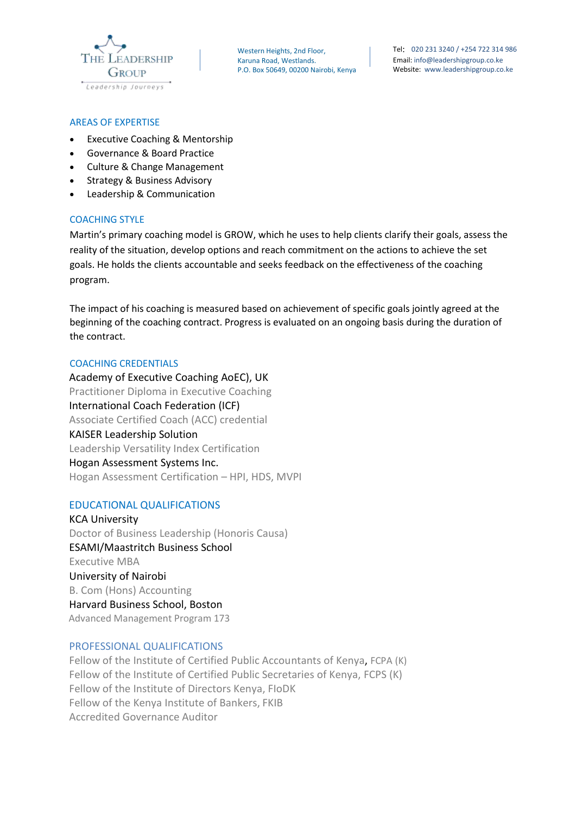

Tel: 020 231 3240 / +254 722 314 986 Email: info@leadershipgroup.co.ke Website: www.leadershipgroup.co.ke

### AREAS OF EXPERTISE

- Executive Coaching & Mentorship
- Governance & Board Practice
- Culture & Change Management
- Strategy & Business Advisory
- Leadership & Communication

## COACHING STYLE

Martin's primary coaching model is GROW, which he uses to help clients clarify their goals, assess the reality of the situation, develop options and reach commitment on the actions to achieve the set goals. He holds the clients accountable and seeks feedback on the effectiveness of the coaching program.

The impact of his coaching is measured based on achievement of specific goals jointly agreed at the beginning of the coaching contract. Progress is evaluated on an ongoing basis during the duration of the contract.

### COACHING CREDENTIALS

 Academy of Executive Coaching AoEC), UK Practitioner Diploma in Executive Coaching International Coach Federation (ICF) Associate Certified Coach (ACC) credential KAISER Leadership Solution Leadership Versatility Index Certification Hogan Assessment Systems Inc. Hogan Assessment Certification – HPI, HDS, MVPI

### EDUCATIONAL QUALIFICATIONS

 KCA University Doctor of Business Leadership (Honoris Causa) ESAMI/Maastritch Business School Executive MBA University of Nairobi B. Com (Hons) Accounting Harvard Business School, Boston Advanced Management Program 173

## PROFESSIONAL QUALIFICATIONS

 Fellow of the Institute of Certified Public Accountants of Kenya, FCPA (K) Fellow of the Institute of Certified Public Secretaries of Kenya, FCPS (K) Fellow of the Institute of Directors Kenya, FIoDK Fellow of the Kenya Institute of Bankers, FKIB Accredited Governance Auditor